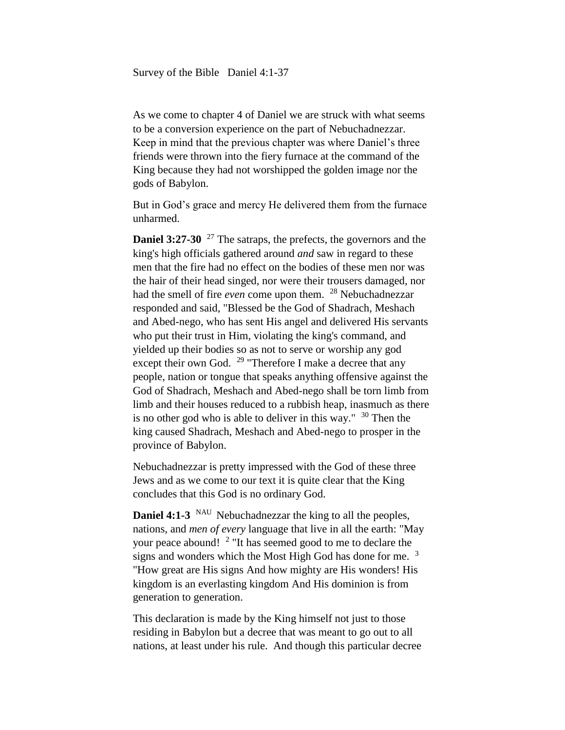As we come to chapter 4 of Daniel we are struck with what seems to be a conversion experience on the part of Nebuchadnezzar. Keep in mind that the previous chapter was where Daniel's three friends were thrown into the fiery furnace at the command of the King because they had not worshipped the golden image nor the gods of Babylon.

But in God's grace and mercy He delivered them from the furnace unharmed.

**Daniel 3:27-30** <sup>27</sup> The satraps, the prefects, the governors and the king's high officials gathered around *and* saw in regard to these men that the fire had no effect on the bodies of these men nor was the hair of their head singed, nor were their trousers damaged, nor had the smell of fire *even* come upon them. <sup>28</sup> Nebuchadnezzar responded and said, "Blessed be the God of Shadrach, Meshach and Abed-nego, who has sent His angel and delivered His servants who put their trust in Him, violating the king's command, and yielded up their bodies so as not to serve or worship any god except their own God. <sup>29</sup> "Therefore I make a decree that any people, nation or tongue that speaks anything offensive against the God of Shadrach, Meshach and Abed-nego shall be torn limb from limb and their houses reduced to a rubbish heap, inasmuch as there is no other god who is able to deliver in this way."  $30$  Then the king caused Shadrach, Meshach and Abed-nego to prosper in the province of Babylon.

Nebuchadnezzar is pretty impressed with the God of these three Jews and as we come to our text it is quite clear that the King concludes that this God is no ordinary God.

**Daniel 4:1-3** NAU Nebuchadnezzar the king to all the peoples, nations, and *men of every* language that live in all the earth: "May your peace abound! <sup>2</sup> "It has seemed good to me to declare the signs and wonders which the Most High God has done for me.  $3\overline{ }$ "How great are His signs And how mighty are His wonders! His kingdom is an everlasting kingdom And His dominion is from generation to generation.

This declaration is made by the King himself not just to those residing in Babylon but a decree that was meant to go out to all nations, at least under his rule. And though this particular decree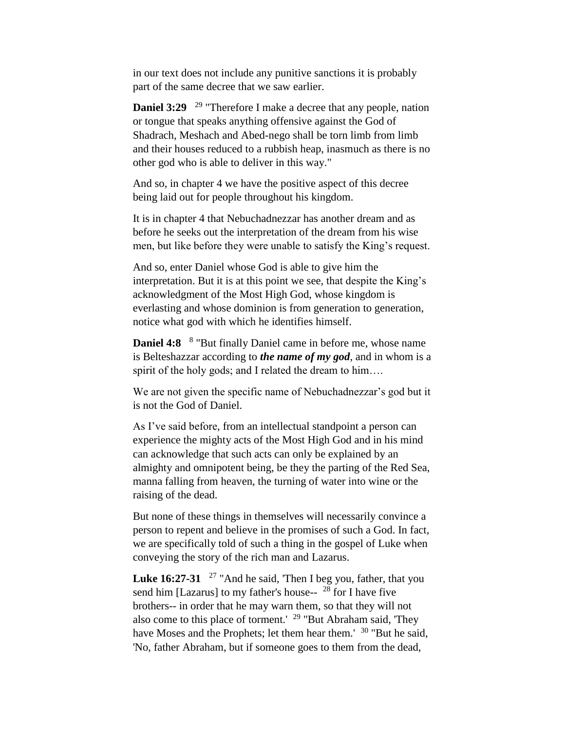in our text does not include any punitive sanctions it is probably part of the same decree that we saw earlier.

**Daniel 3:29** <sup>29</sup> "Therefore I make a decree that any people, nation or tongue that speaks anything offensive against the God of Shadrach, Meshach and Abed-nego shall be torn limb from limb and their houses reduced to a rubbish heap, inasmuch as there is no other god who is able to deliver in this way."

And so, in chapter 4 we have the positive aspect of this decree being laid out for people throughout his kingdom.

It is in chapter 4 that Nebuchadnezzar has another dream and as before he seeks out the interpretation of the dream from his wise men, but like before they were unable to satisfy the King's request.

And so, enter Daniel whose God is able to give him the interpretation. But it is at this point we see, that despite the King's acknowledgment of the Most High God, whose kingdom is everlasting and whose dominion is from generation to generation, notice what god with which he identifies himself.

**Daniel 4:8** <sup>8</sup> "But finally Daniel came in before me, whose name is Belteshazzar according to *the name of my god*, and in whom is a spirit of the holy gods; and I related the dream to him....

We are not given the specific name of Nebuchadnezzar's god but it is not the God of Daniel.

As I've said before, from an intellectual standpoint a person can experience the mighty acts of the Most High God and in his mind can acknowledge that such acts can only be explained by an almighty and omnipotent being, be they the parting of the Red Sea, manna falling from heaven, the turning of water into wine or the raising of the dead.

But none of these things in themselves will necessarily convince a person to repent and believe in the promises of such a God. In fact, we are specifically told of such a thing in the gospel of Luke when conveying the story of the rich man and Lazarus.

Luke 16:27-31 <sup>27</sup> "And he said, Then I beg you, father, that you send him [Lazarus] to my father's house-- <sup>28</sup> for I have five brothers-- in order that he may warn them, so that they will not also come to this place of torment.' <sup>29</sup> "But Abraham said, 'They have Moses and the Prophets; let them hear them.' <sup>30</sup> "But he said, 'No, father Abraham, but if someone goes to them from the dead,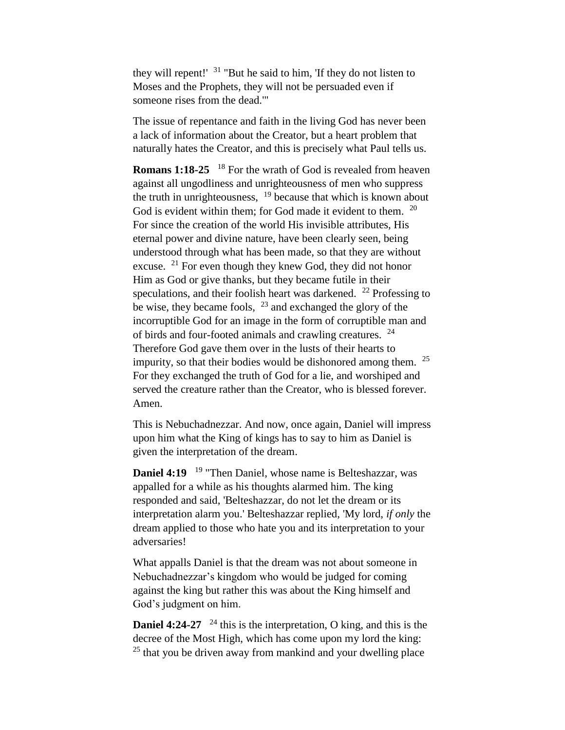they will repent!'  $31$  "But he said to him, 'If they do not listen to Moses and the Prophets, they will not be persuaded even if someone rises from the dead.'"

The issue of repentance and faith in the living God has never been a lack of information about the Creator, but a heart problem that naturally hates the Creator, and this is precisely what Paul tells us.

**Romans 1:18-25** <sup>18</sup> For the wrath of God is revealed from heaven against all ungodliness and unrighteousness of men who suppress the truth in unrighteousness,  $19$  because that which is known about God is evident within them; for God made it evident to them. <sup>20</sup> For since the creation of the world His invisible attributes, His eternal power and divine nature, have been clearly seen, being understood through what has been made, so that they are without excuse.  $21$  For even though they knew God, they did not honor Him as God or give thanks, but they became futile in their speculations, and their foolish heart was darkened.  $^{22}$  Professing to be wise, they became fools, <sup>23</sup> and exchanged the glory of the incorruptible God for an image in the form of corruptible man and of birds and four-footed animals and crawling creatures. <sup>24</sup> Therefore God gave them over in the lusts of their hearts to impurity, so that their bodies would be dishonored among them.  $25$ For they exchanged the truth of God for a lie, and worshiped and served the creature rather than the Creator, who is blessed forever. Amen.

This is Nebuchadnezzar. And now, once again, Daniel will impress upon him what the King of kings has to say to him as Daniel is given the interpretation of the dream.

**Daniel 4:19**  <sup>19</sup> "Then Daniel, whose name is Belteshazzar, was appalled for a while as his thoughts alarmed him. The king responded and said, 'Belteshazzar, do not let the dream or its interpretation alarm you.' Belteshazzar replied, 'My lord, *if only* the dream applied to those who hate you and its interpretation to your adversaries!

What appalls Daniel is that the dream was not about someone in Nebuchadnezzar's kingdom who would be judged for coming against the king but rather this was about the King himself and God's judgment on him.

**Daniel 4:24-27** <sup>24</sup> this is the interpretation, O king, and this is the decree of the Most High, which has come upon my lord the king:  $25$  that you be driven away from mankind and your dwelling place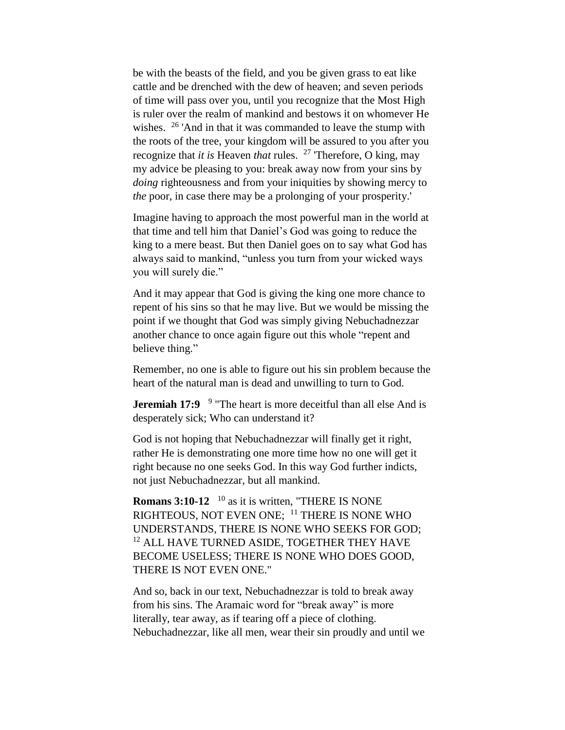be with the beasts of the field, and you be given grass to eat like cattle and be drenched with the dew of heaven; and seven periods of time will pass over you, until you recognize that the Most High is ruler over the realm of mankind and bestows it on whomever He wishes.  $26$  'And in that it was commanded to leave the stump with the roots of the tree, your kingdom will be assured to you after you recognize that *it is* Heaven *that* rules. <sup>27</sup> Therefore, O king, may my advice be pleasing to you: break away now from your sins by *doing* righteousness and from your iniquities by showing mercy to *the* poor, in case there may be a prolonging of your prosperity.'

Imagine having to approach the most powerful man in the world at that time and tell him that Daniel's God was going to reduce the king to a mere beast. But then Daniel goes on to say what God has always said to mankind, "unless you turn from your wicked ways you will surely die."

And it may appear that God is giving the king one more chance to repent of his sins so that he may live. But we would be missing the point if we thought that God was simply giving Nebuchadnezzar another chance to once again figure out this whole "repent and believe thing."

Remember, no one is able to figure out his sin problem because the heart of the natural man is dead and unwilling to turn to God.

**Jeremiah 17:9** <sup>9</sup> "The heart is more deceitful than all else And is desperately sick; Who can understand it?

God is not hoping that Nebuchadnezzar will finally get it right, rather He is demonstrating one more time how no one will get it right because no one seeks God. In this way God further indicts, not just Nebuchadnezzar, but all mankind.

**Romans 3:10-12** <sup>10</sup> as it is written, "THERE IS NONE RIGHTEOUS, NOT EVEN ONE; <sup>11</sup> THERE IS NONE WHO UNDERSTANDS, THERE IS NONE WHO SEEKS FOR GOD; <sup>12</sup> ALL HAVE TURNED ASIDE, TOGETHER THEY HAVE BECOME USELESS; THERE IS NONE WHO DOES GOOD, THERE IS NOT EVEN ONE."

And so, back in our text, Nebuchadnezzar is told to break away from his sins. The Aramaic word for "break away" is more literally, tear away, as if tearing off a piece of clothing. Nebuchadnezzar, like all men, wear their sin proudly and until we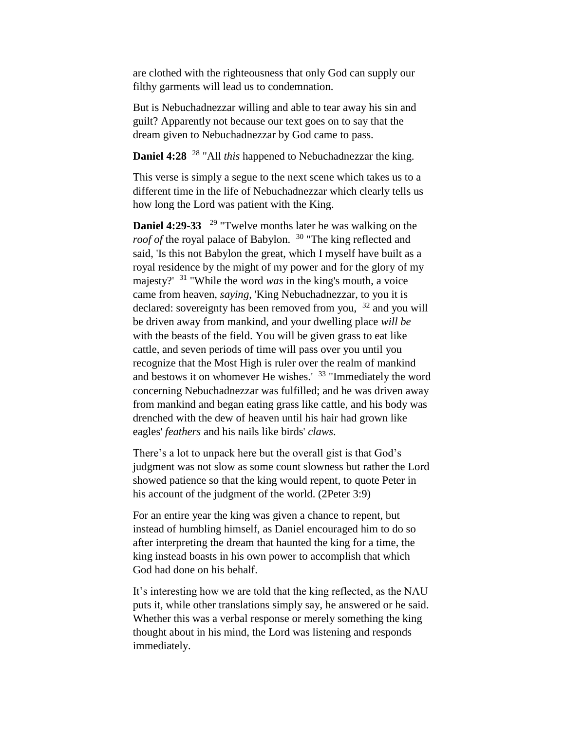are clothed with the righteousness that only God can supply our filthy garments will lead us to condemnation.

But is Nebuchadnezzar willing and able to tear away his sin and guilt? Apparently not because our text goes on to say that the dream given to Nebuchadnezzar by God came to pass.

**Daniel 4:28** <sup>28</sup> "All *this* happened to Nebuchadnezzar the king.

This verse is simply a segue to the next scene which takes us to a different time in the life of Nebuchadnezzar which clearly tells us how long the Lord was patient with the King.

**Daniel 4:29-33** <sup>29</sup> "Twelve months later he was walking on the *roof of the royal palace of Babylon.* <sup>30</sup> "The king reflected and said, 'Is this not Babylon the great, which I myself have built as a royal residence by the might of my power and for the glory of my majesty?' <sup>31</sup> "While the word *was* in the king's mouth, a voice came from heaven, *saying*, 'King Nebuchadnezzar, to you it is declared: sovereignty has been removed from you,  $32$  and you will be driven away from mankind, and your dwelling place *will be* with the beasts of the field. You will be given grass to eat like cattle, and seven periods of time will pass over you until you recognize that the Most High is ruler over the realm of mankind and bestows it on whomever He wishes.<sup>' 33</sup> "Immediately the word concerning Nebuchadnezzar was fulfilled; and he was driven away from mankind and began eating grass like cattle, and his body was drenched with the dew of heaven until his hair had grown like eagles' *feathers* and his nails like birds' *claws*.

There's a lot to unpack here but the overall gist is that God's judgment was not slow as some count slowness but rather the Lord showed patience so that the king would repent, to quote Peter in his account of the judgment of the world. (2Peter 3:9)

For an entire year the king was given a chance to repent, but instead of humbling himself, as Daniel encouraged him to do so after interpreting the dream that haunted the king for a time, the king instead boasts in his own power to accomplish that which God had done on his behalf.

It's interesting how we are told that the king reflected, as the NAU puts it, while other translations simply say, he answered or he said. Whether this was a verbal response or merely something the king thought about in his mind, the Lord was listening and responds immediately.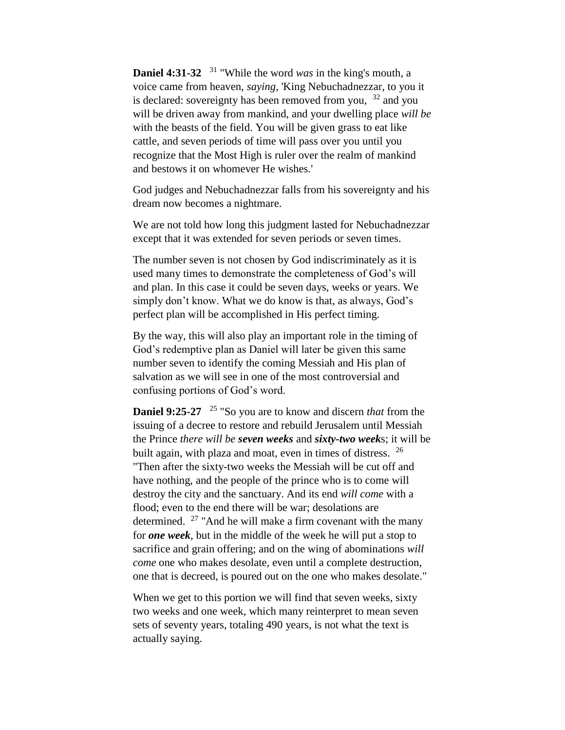**Daniel 4:31-32**  <sup>31</sup> "While the word *was* in the king's mouth, a voice came from heaven, *saying*, 'King Nebuchadnezzar, to you it is declared: sovereignty has been removed from you,  $32$  and you will be driven away from mankind, and your dwelling place *will be*  with the beasts of the field. You will be given grass to eat like cattle, and seven periods of time will pass over you until you recognize that the Most High is ruler over the realm of mankind and bestows it on whomever He wishes.'

God judges and Nebuchadnezzar falls from his sovereignty and his dream now becomes a nightmare.

We are not told how long this judgment lasted for Nebuchadnezzar except that it was extended for seven periods or seven times.

The number seven is not chosen by God indiscriminately as it is used many times to demonstrate the completeness of God's will and plan. In this case it could be seven days, weeks or years. We simply don't know. What we do know is that, as always, God's perfect plan will be accomplished in His perfect timing.

By the way, this will also play an important role in the timing of God's redemptive plan as Daniel will later be given this same number seven to identify the coming Messiah and His plan of salvation as we will see in one of the most controversial and confusing portions of God's word.

**Daniel 9:25-27** <sup>25</sup> "So you are to know and discern *that* from the issuing of a decree to restore and rebuild Jerusalem until Messiah the Prince *there will be seven weeks* and *sixty-two week*s; it will be built again, with plaza and moat, even in times of distress.  $26$ "Then after the sixty-two weeks the Messiah will be cut off and have nothing, and the people of the prince who is to come will destroy the city and the sanctuary. And its end *will come* with a flood; even to the end there will be war; desolations are determined.  $27$  "And he will make a firm covenant with the many for *one week*, but in the middle of the week he will put a stop to sacrifice and grain offering; and on the wing of abominations *will come* one who makes desolate, even until a complete destruction, one that is decreed, is poured out on the one who makes desolate."

When we get to this portion we will find that seven weeks, sixty two weeks and one week, which many reinterpret to mean seven sets of seventy years, totaling 490 years, is not what the text is actually saying.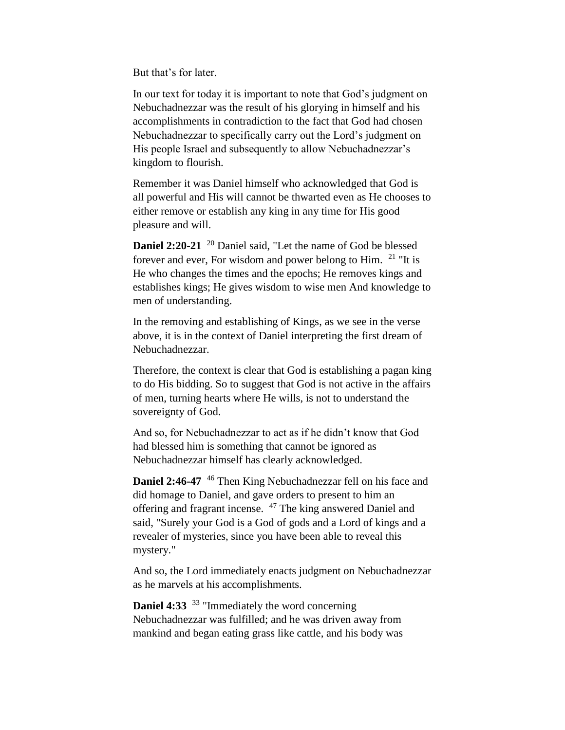But that's for later.

In our text for today it is important to note that God's judgment on Nebuchadnezzar was the result of his glorying in himself and his accomplishments in contradiction to the fact that God had chosen Nebuchadnezzar to specifically carry out the Lord's judgment on His people Israel and subsequently to allow Nebuchadnezzar's kingdom to flourish.

Remember it was Daniel himself who acknowledged that God is all powerful and His will cannot be thwarted even as He chooses to either remove or establish any king in any time for His good pleasure and will.

**Daniel 2:20-21** <sup>20</sup> Daniel said, "Let the name of God be blessed forever and ever, For wisdom and power belong to Him. <sup>21</sup> "It is He who changes the times and the epochs; He removes kings and establishes kings; He gives wisdom to wise men And knowledge to men of understanding.

In the removing and establishing of Kings, as we see in the verse above, it is in the context of Daniel interpreting the first dream of Nebuchadnezzar.

Therefore, the context is clear that God is establishing a pagan king to do His bidding. So to suggest that God is not active in the affairs of men, turning hearts where He wills, is not to understand the sovereignty of God.

And so, for Nebuchadnezzar to act as if he didn't know that God had blessed him is something that cannot be ignored as Nebuchadnezzar himself has clearly acknowledged.

**Daniel 2:46-47** <sup>46</sup> Then King Nebuchadnezzar fell on his face and did homage to Daniel, and gave orders to present to him an offering and fragrant incense. <sup>47</sup> The king answered Daniel and said, "Surely your God is a God of gods and a Lord of kings and a revealer of mysteries, since you have been able to reveal this mystery."

And so, the Lord immediately enacts judgment on Nebuchadnezzar as he marvels at his accomplishments.

**Daniel 4:33** <sup>33</sup> "Immediately the word concerning Nebuchadnezzar was fulfilled; and he was driven away from mankind and began eating grass like cattle, and his body was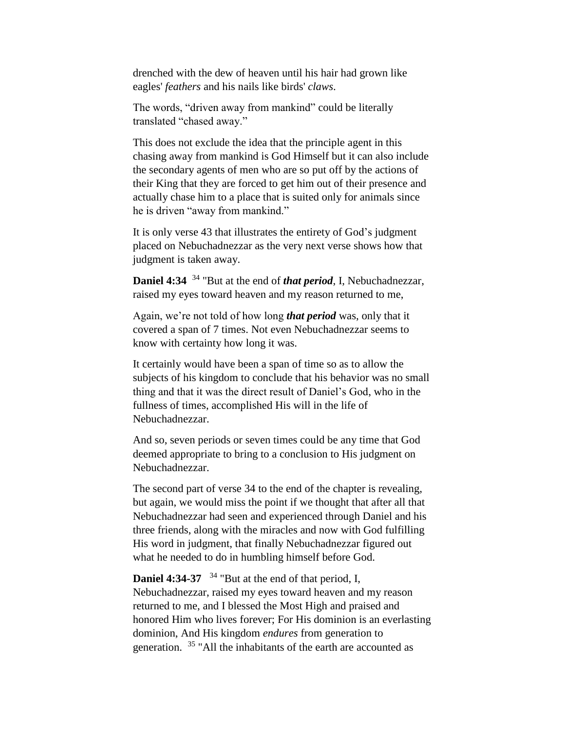drenched with the dew of heaven until his hair had grown like eagles' *feathers* and his nails like birds' *claws*.

The words, "driven away from mankind" could be literally translated "chased away."

This does not exclude the idea that the principle agent in this chasing away from mankind is God Himself but it can also include the secondary agents of men who are so put off by the actions of their King that they are forced to get him out of their presence and actually chase him to a place that is suited only for animals since he is driven "away from mankind."

It is only verse 43 that illustrates the entirety of God's judgment placed on Nebuchadnezzar as the very next verse shows how that judgment is taken away.

**Daniel 4:34** <sup>34</sup> "But at the end of *that period*, I, Nebuchadnezzar, raised my eyes toward heaven and my reason returned to me,

Again, we're not told of how long *that period* was, only that it covered a span of 7 times. Not even Nebuchadnezzar seems to know with certainty how long it was.

It certainly would have been a span of time so as to allow the subjects of his kingdom to conclude that his behavior was no small thing and that it was the direct result of Daniel's God, who in the fullness of times, accomplished His will in the life of Nebuchadnezzar.

And so, seven periods or seven times could be any time that God deemed appropriate to bring to a conclusion to His judgment on Nebuchadnezzar.

The second part of verse 34 to the end of the chapter is revealing, but again, we would miss the point if we thought that after all that Nebuchadnezzar had seen and experienced through Daniel and his three friends, along with the miracles and now with God fulfilling His word in judgment, that finally Nebuchadnezzar figured out what he needed to do in humbling himself before God.

**Daniel 4:34-37**  <sup>34</sup> "But at the end of that period, I, Nebuchadnezzar, raised my eyes toward heaven and my reason returned to me, and I blessed the Most High and praised and honored Him who lives forever; For His dominion is an everlasting dominion, And His kingdom *endures* from generation to generation. <sup>35</sup> "All the inhabitants of the earth are accounted as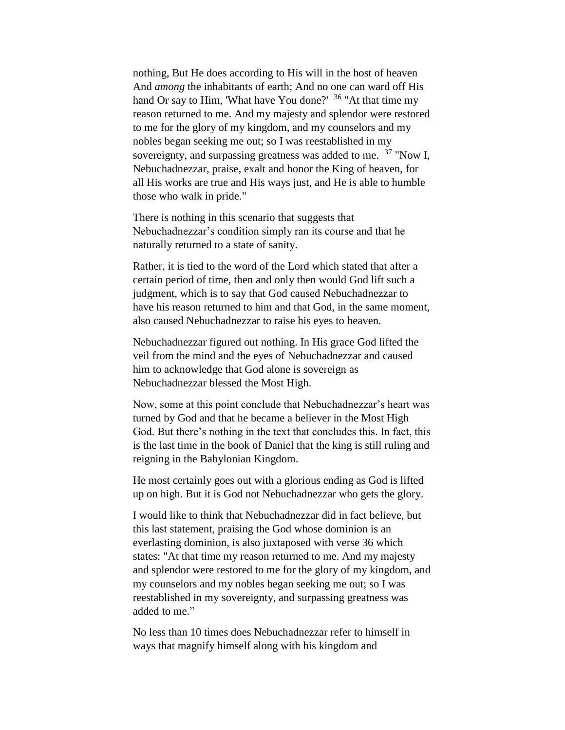nothing, But He does according to His will in the host of heaven And *among* the inhabitants of earth; And no one can ward off His hand Or say to Him, 'What have You done?' <sup>36</sup> "At that time my reason returned to me. And my majesty and splendor were restored to me for the glory of my kingdom, and my counselors and my nobles began seeking me out; so I was reestablished in my sovereignty, and surpassing greatness was added to me.  $37$  "Now I, Nebuchadnezzar, praise, exalt and honor the King of heaven, for all His works are true and His ways just, and He is able to humble those who walk in pride."

There is nothing in this scenario that suggests that Nebuchadnezzar's condition simply ran its course and that he naturally returned to a state of sanity.

Rather, it is tied to the word of the Lord which stated that after a certain period of time, then and only then would God lift such a judgment, which is to say that God caused Nebuchadnezzar to have his reason returned to him and that God, in the same moment, also caused Nebuchadnezzar to raise his eyes to heaven.

Nebuchadnezzar figured out nothing. In His grace God lifted the veil from the mind and the eyes of Nebuchadnezzar and caused him to acknowledge that God alone is sovereign as Nebuchadnezzar blessed the Most High.

Now, some at this point conclude that Nebuchadnezzar's heart was turned by God and that he became a believer in the Most High God. But there's nothing in the text that concludes this. In fact, this is the last time in the book of Daniel that the king is still ruling and reigning in the Babylonian Kingdom.

He most certainly goes out with a glorious ending as God is lifted up on high. But it is God not Nebuchadnezzar who gets the glory.

I would like to think that Nebuchadnezzar did in fact believe, but this last statement, praising the God whose dominion is an everlasting dominion, is also juxtaposed with verse 36 which states: "At that time my reason returned to me. And my majesty and splendor were restored to me for the glory of my kingdom, and my counselors and my nobles began seeking me out; so I was reestablished in my sovereignty, and surpassing greatness was added to me."

No less than 10 times does Nebuchadnezzar refer to himself in ways that magnify himself along with his kingdom and